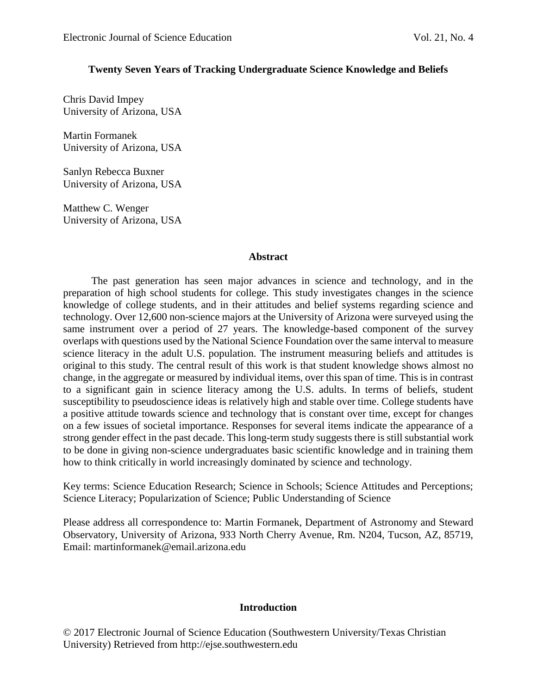# **Twenty Seven Years of Tracking Undergraduate Science Knowledge and Beliefs**

Chris David Impey University of Arizona, USA

Martin Formanek University of Arizona, USA

Sanlyn Rebecca Buxner University of Arizona, USA

Matthew C. Wenger University of Arizona, USA

### **Abstract**

The past generation has seen major advances in science and technology, and in the preparation of high school students for college. This study investigates changes in the science knowledge of college students, and in their attitudes and belief systems regarding science and technology. Over 12,600 non-science majors at the University of Arizona were surveyed using the same instrument over a period of 27 years. The knowledge-based component of the survey overlaps with questions used by the National Science Foundation over the same interval to measure science literacy in the adult U.S. population. The instrument measuring beliefs and attitudes is original to this study. The central result of this work is that student knowledge shows almost no change, in the aggregate or measured by individual items, over this span of time. This is in contrast to a significant gain in science literacy among the U.S. adults. In terms of beliefs, student susceptibility to pseudoscience ideas is relatively high and stable over time. College students have a positive attitude towards science and technology that is constant over time, except for changes on a few issues of societal importance. Responses for several items indicate the appearance of a strong gender effect in the past decade. This long-term study suggests there is still substantial work to be done in giving non-science undergraduates basic scientific knowledge and in training them how to think critically in world increasingly dominated by science and technology.

Key terms: Science Education Research; Science in Schools; Science Attitudes and Perceptions; Science Literacy; Popularization of Science; Public Understanding of Science

Please address all correspondence to: Martin Formanek, Department of Astronomy and Steward Observatory, University of Arizona, 933 North Cherry Avenue, Rm. N204, Tucson, AZ, 85719, Email: martinformanek@email.arizona.edu

# **Introduction**

© 2017 Electronic Journal of Science Education (Southwestern University/Texas Christian University) Retrieved from http://ejse.southwestern.edu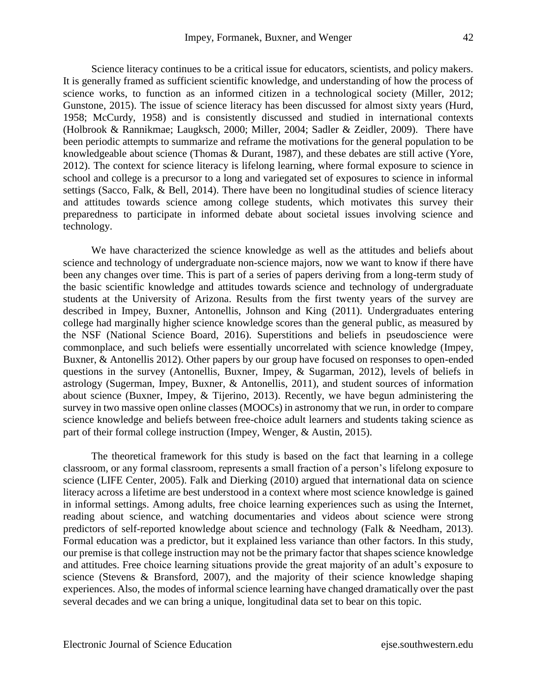Science literacy continues to be a critical issue for educators, scientists, and policy makers. It is generally framed as sufficient scientific knowledge, and understanding of how the process of science works, to function as an informed citizen in a technological society (Miller, 2012; Gunstone, 2015). The issue of science literacy has been discussed for almost sixty years (Hurd, 1958; McCurdy, 1958) and is consistently discussed and studied in international contexts (Holbrook & Rannikmae; Laugksch, 2000; Miller, 2004; Sadler & Zeidler, 2009). There have been periodic attempts to summarize and reframe the motivations for the general population to be knowledgeable about science (Thomas & Durant, 1987), and these debates are still active (Yore, 2012). The context for science literacy is lifelong learning, where formal exposure to science in school and college is a precursor to a long and variegated set of exposures to science in informal settings (Sacco, Falk, & Bell, 2014). There have been no longitudinal studies of science literacy and attitudes towards science among college students, which motivates this survey their preparedness to participate in informed debate about societal issues involving science and technology.

We have characterized the science knowledge as well as the attitudes and beliefs about science and technology of undergraduate non-science majors, now we want to know if there have been any changes over time. This is part of a series of papers deriving from a long-term study of the basic scientific knowledge and attitudes towards science and technology of undergraduate students at the University of Arizona. Results from the first twenty years of the survey are described in Impey, Buxner, Antonellis, Johnson and King (2011). Undergraduates entering college had marginally higher science knowledge scores than the general public, as measured by the NSF (National Science Board, 2016). Superstitions and beliefs in pseudoscience were commonplace, and such beliefs were essentially uncorrelated with science knowledge (Impey, Buxner, & Antonellis 2012). Other papers by our group have focused on responses to open-ended questions in the survey (Antonellis, Buxner, Impey, & Sugarman, 2012), levels of beliefs in astrology (Sugerman, Impey, Buxner, & Antonellis, 2011), and student sources of information about science (Buxner, Impey, & Tijerino, 2013). Recently, we have begun administering the survey in two massive open online classes (MOOCs) in astronomy that we run, in order to compare science knowledge and beliefs between free-choice adult learners and students taking science as part of their formal college instruction (Impey, Wenger, & Austin, 2015).

The theoretical framework for this study is based on the fact that learning in a college classroom, or any formal classroom, represents a small fraction of a person's lifelong exposure to science (LIFE Center, 2005). Falk and Dierking (2010) argued that international data on science literacy across a lifetime are best understood in a context where most science knowledge is gained in informal settings. Among adults, free choice learning experiences such as using the Internet, reading about science, and watching documentaries and videos about science were strong predictors of self-reported knowledge about science and technology (Falk & Needham, 2013). Formal education was a predictor, but it explained less variance than other factors. In this study, our premise is that college instruction may not be the primary factor that shapes science knowledge and attitudes. Free choice learning situations provide the great majority of an adult's exposure to science (Stevens & Bransford, 2007), and the majority of their science knowledge shaping experiences. Also, the modes of informal science learning have changed dramatically over the past several decades and we can bring a unique, longitudinal data set to bear on this topic.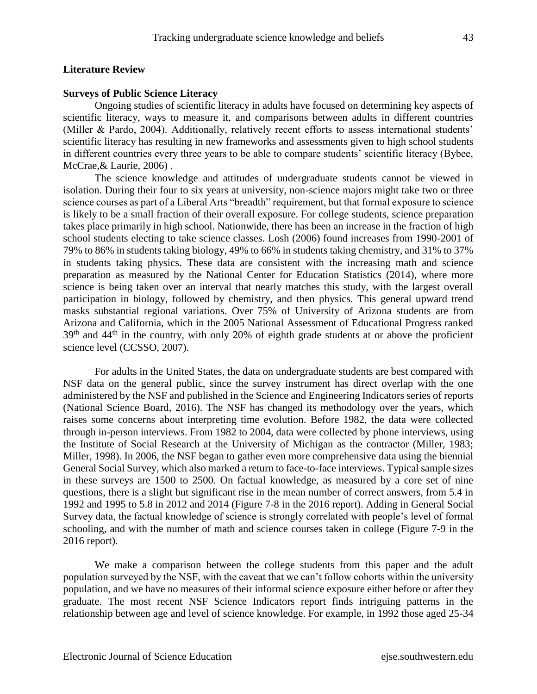### **Literature Review**

### **Surveys of Public Science Literacy**

Ongoing studies of scientific literacy in adults have focused on determining key aspects of scientific literacy, ways to measure it, and comparisons between adults in different countries (Miller & Pardo, 2004). Additionally, relatively recent efforts to assess international students' scientific literacy has resulting in new frameworks and assessments given to high school students in different countries every three years to be able to compare students' scientific literacy (Bybee, McCrae,& Laurie, 2006) .

The science knowledge and attitudes of undergraduate students cannot be viewed in isolation. During their four to six years at university, non-science majors might take two or three science courses as part of a Liberal Arts "breadth" requirement, but that formal exposure to science is likely to be a small fraction of their overall exposure. For college students, science preparation takes place primarily in high school. Nationwide, there has been an increase in the fraction of high school students electing to take science classes. Losh (2006) found increases from 1990-2001 of 79% to 86% in students taking biology, 49% to 66% in students taking chemistry, and 31% to 37% in students taking physics. These data are consistent with the increasing math and science preparation as measured by the National Center for Education Statistics (2014), where more science is being taken over an interval that nearly matches this study, with the largest overall participation in biology, followed by chemistry, and then physics. This general upward trend masks substantial regional variations. Over 75% of University of Arizona students are from Arizona and California, which in the 2005 National Assessment of Educational Progress ranked  $39<sup>th</sup>$  and  $44<sup>th</sup>$  in the country, with only 20% of eighth grade students at or above the proficient science level (CCSSO, 2007).

For adults in the United States, the data on undergraduate students are best compared with NSF data on the general public, since the survey instrument has direct overlap with the one administered by the NSF and published in the Science and Engineering Indicators series of reports (National Science Board, 2016). The NSF has changed its methodology over the years, which raises some concerns about interpreting time evolution. Before 1982, the data were collected through in-person interviews. From 1982 to 2004, data were collected by phone interviews, using the Institute of Social Research at the University of Michigan as the contractor (Miller, 1983; Miller, 1998). In 2006, the NSF began to gather even more comprehensive data using the biennial General Social Survey, which also marked a return to face-to-face interviews. Typical sample sizes in these surveys are 1500 to 2500. On factual knowledge, as measured by a core set of nine questions, there is a slight but significant rise in the mean number of correct answers, from 5.4 in 1992 and 1995 to 5.8 in 2012 and 2014 (Figure 7-8 in the 2016 report). Adding in General Social Survey data, the factual knowledge of science is strongly correlated with people's level of formal schooling, and with the number of math and science courses taken in college (Figure 7-9 in the 2016 report).

We make a comparison between the college students from this paper and the adult population surveyed by the NSF, with the caveat that we can't follow cohorts within the university population, and we have no measures of their informal science exposure either before or after they graduate. The most recent NSF Science Indicators report finds intriguing patterns in the relationship between age and level of science knowledge. For example, in 1992 those aged 25-34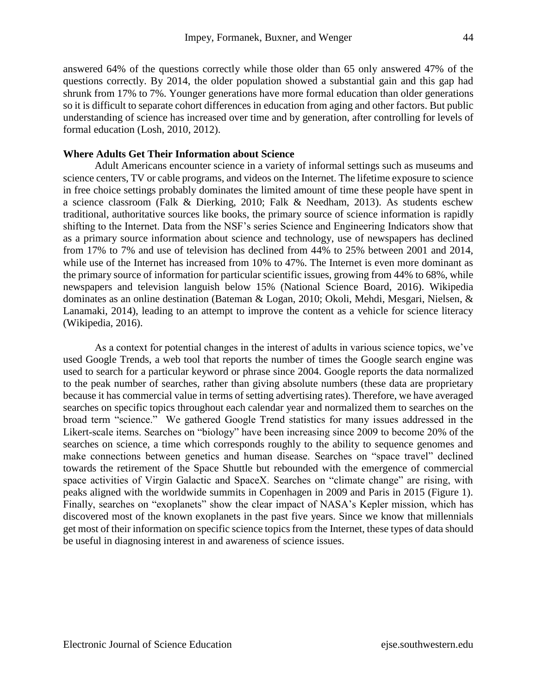answered 64% of the questions correctly while those older than 65 only answered 47% of the questions correctly. By 2014, the older population showed a substantial gain and this gap had shrunk from 17% to 7%. Younger generations have more formal education than older generations so it is difficult to separate cohort differences in education from aging and other factors. But public understanding of science has increased over time and by generation, after controlling for levels of formal education (Losh, 2010, 2012).

### **Where Adults Get Their Information about Science**

Adult Americans encounter science in a variety of informal settings such as museums and science centers, TV or cable programs, and videos on the Internet. The lifetime exposure to science in free choice settings probably dominates the limited amount of time these people have spent in a science classroom (Falk & Dierking, 2010; Falk & Needham, 2013). As students eschew traditional, authoritative sources like books, the primary source of science information is rapidly shifting to the Internet. Data from the NSF's series Science and Engineering Indicators show that as a primary source information about science and technology, use of newspapers has declined from 17% to 7% and use of television has declined from 44% to 25% between 2001 and 2014, while use of the Internet has increased from 10% to 47%. The Internet is even more dominant as the primary source of information for particular scientific issues, growing from 44% to 68%, while newspapers and television languish below 15% (National Science Board, 2016). Wikipedia dominates as an online destination (Bateman & Logan, 2010; Okoli, Mehdi, Mesgari, Nielsen, & Lanamaki, 2014), leading to an attempt to improve the content as a vehicle for science literacy (Wikipedia, 2016).

As a context for potential changes in the interest of adults in various science topics, we've used Google Trends, a web tool that reports the number of times the Google search engine was used to search for a particular keyword or phrase since 2004. Google reports the data normalized to the peak number of searches, rather than giving absolute numbers (these data are proprietary because it has commercial value in terms of setting advertising rates). Therefore, we have averaged searches on specific topics throughout each calendar year and normalized them to searches on the broad term "science." We gathered Google Trend statistics for many issues addressed in the Likert-scale items. Searches on "biology" have been increasing since 2009 to become 20% of the searches on science, a time which corresponds roughly to the ability to sequence genomes and make connections between genetics and human disease. Searches on "space travel" declined towards the retirement of the Space Shuttle but rebounded with the emergence of commercial space activities of Virgin Galactic and SpaceX. Searches on "climate change" are rising, with peaks aligned with the worldwide summits in Copenhagen in 2009 and Paris in 2015 (Figure 1). Finally, searches on "exoplanets" show the clear impact of NASA's Kepler mission, which has discovered most of the known exoplanets in the past five years. Since we know that millennials get most of their information on specific science topics from the Internet, these types of data should be useful in diagnosing interest in and awareness of science issues.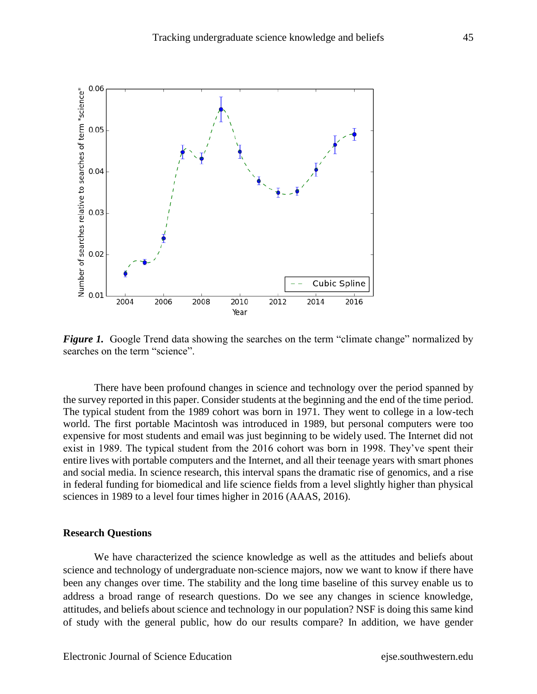

*Figure 1.* Google Trend data showing the searches on the term "climate change" normalized by searches on the term "science".

There have been profound changes in science and technology over the period spanned by the survey reported in this paper. Consider students at the beginning and the end of the time period. The typical student from the 1989 cohort was born in 1971. They went to college in a low-tech world. The first portable Macintosh was introduced in 1989, but personal computers were too expensive for most students and email was just beginning to be widely used. The Internet did not exist in 1989. The typical student from the 2016 cohort was born in 1998. They've spent their entire lives with portable computers and the Internet, and all their teenage years with smart phones and social media. In science research, this interval spans the dramatic rise of genomics, and a rise in federal funding for biomedical and life science fields from a level slightly higher than physical sciences in 1989 to a level four times higher in 2016 (AAAS, 2016).

### **Research Questions**

We have characterized the science knowledge as well as the attitudes and beliefs about science and technology of undergraduate non-science majors, now we want to know if there have been any changes over time. The stability and the long time baseline of this survey enable us to address a broad range of research questions. Do we see any changes in science knowledge, attitudes, and beliefs about science and technology in our population? NSF is doing this same kind of study with the general public, how do our results compare? In addition, we have gender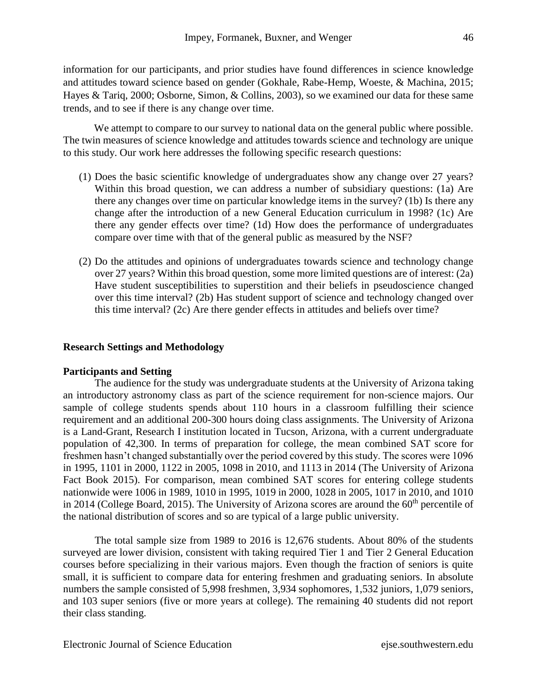information for our participants, and prior studies have found differences in science knowledge and attitudes toward science based on gender (Gokhale, Rabe-Hemp, Woeste, & Machina, 2015; Hayes & Tariq, 2000; Osborne, Simon, & Collins, 2003), so we examined our data for these same trends, and to see if there is any change over time.

We attempt to compare to our survey to national data on the general public where possible. The twin measures of science knowledge and attitudes towards science and technology are unique to this study. Our work here addresses the following specific research questions:

- (1) Does the basic scientific knowledge of undergraduates show any change over 27 years? Within this broad question, we can address a number of subsidiary questions: (1a) Are there any changes over time on particular knowledge items in the survey? (1b) Is there any change after the introduction of a new General Education curriculum in 1998? (1c) Are there any gender effects over time? (1d) How does the performance of undergraduates compare over time with that of the general public as measured by the NSF?
- (2) Do the attitudes and opinions of undergraduates towards science and technology change over 27 years? Within this broad question, some more limited questions are of interest: (2a) Have student susceptibilities to superstition and their beliefs in pseudoscience changed over this time interval? (2b) Has student support of science and technology changed over this time interval? (2c) Are there gender effects in attitudes and beliefs over time?

# **Research Settings and Methodology**

# **Participants and Setting**

The audience for the study was undergraduate students at the University of Arizona taking an introductory astronomy class as part of the science requirement for non-science majors. Our sample of college students spends about 110 hours in a classroom fulfilling their science requirement and an additional 200-300 hours doing class assignments. The University of Arizona is a Land-Grant, Research I institution located in Tucson, Arizona, with a current undergraduate population of 42,300. In terms of preparation for college, the mean combined SAT score for freshmen hasn't changed substantially over the period covered by this study. The scores were 1096 in 1995, 1101 in 2000, 1122 in 2005, 1098 in 2010, and 1113 in 2014 (The University of Arizona Fact Book 2015). For comparison, mean combined SAT scores for entering college students nationwide were 1006 in 1989, 1010 in 1995, 1019 in 2000, 1028 in 2005, 1017 in 2010, and 1010 in 2014 (College Board, 2015). The University of Arizona scores are around the  $60<sup>th</sup>$  percentile of the national distribution of scores and so are typical of a large public university.

The total sample size from 1989 to 2016 is 12,676 students. About 80% of the students surveyed are lower division, consistent with taking required Tier 1 and Tier 2 General Education courses before specializing in their various majors. Even though the fraction of seniors is quite small, it is sufficient to compare data for entering freshmen and graduating seniors. In absolute numbers the sample consisted of 5,998 freshmen, 3,934 sophomores, 1,532 juniors, 1,079 seniors, and 103 super seniors (five or more years at college). The remaining 40 students did not report their class standing.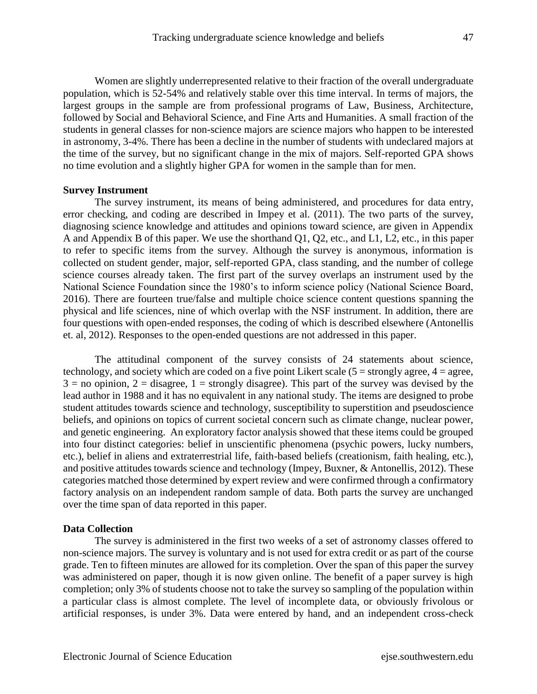Women are slightly underrepresented relative to their fraction of the overall undergraduate population, which is 52-54% and relatively stable over this time interval. In terms of majors, the largest groups in the sample are from professional programs of Law, Business, Architecture, followed by Social and Behavioral Science, and Fine Arts and Humanities. A small fraction of the students in general classes for non-science majors are science majors who happen to be interested in astronomy, 3-4%. There has been a decline in the number of students with undeclared majors at the time of the survey, but no significant change in the mix of majors. Self-reported GPA shows no time evolution and a slightly higher GPA for women in the sample than for men.

#### **Survey Instrument**

The survey instrument, its means of being administered, and procedures for data entry, error checking, and coding are described in Impey et al. (2011). The two parts of the survey, diagnosing science knowledge and attitudes and opinions toward science, are given in Appendix A and Appendix B of this paper. We use the shorthand Q1, Q2, etc., and L1, L2, etc., in this paper to refer to specific items from the survey. Although the survey is anonymous, information is collected on student gender, major, self-reported GPA, class standing, and the number of college science courses already taken. The first part of the survey overlaps an instrument used by the National Science Foundation since the 1980's to inform science policy (National Science Board, 2016). There are fourteen true/false and multiple choice science content questions spanning the physical and life sciences, nine of which overlap with the NSF instrument. In addition, there are four questions with open-ended responses, the coding of which is described elsewhere (Antonellis et. al, 2012). Responses to the open-ended questions are not addressed in this paper.

The attitudinal component of the survey consists of 24 statements about science, technology, and society which are coded on a five point Likert scale  $(5 =$  strongly agree,  $4 =$  agree,  $3 =$  no opinion,  $2 =$  disagree,  $1 =$  strongly disagree). This part of the survey was devised by the lead author in 1988 and it has no equivalent in any national study. The items are designed to probe student attitudes towards science and technology, susceptibility to superstition and pseudoscience beliefs, and opinions on topics of current societal concern such as climate change, nuclear power, and genetic engineering. An exploratory factor analysis showed that these items could be grouped into four distinct categories: belief in unscientific phenomena (psychic powers, lucky numbers, etc.), belief in aliens and extraterrestrial life, faith-based beliefs (creationism, faith healing, etc.), and positive attitudes towards science and technology (Impey, Buxner, & Antonellis, 2012). These categories matched those determined by expert review and were confirmed through a confirmatory factory analysis on an independent random sample of data. Both parts the survey are unchanged over the time span of data reported in this paper.

#### **Data Collection**

The survey is administered in the first two weeks of a set of astronomy classes offered to non-science majors. The survey is voluntary and is not used for extra credit or as part of the course grade. Ten to fifteen minutes are allowed for its completion. Over the span of this paper the survey was administered on paper, though it is now given online. The benefit of a paper survey is high completion; only 3% of students choose not to take the survey so sampling of the population within a particular class is almost complete. The level of incomplete data, or obviously frivolous or artificial responses, is under 3%. Data were entered by hand, and an independent cross-check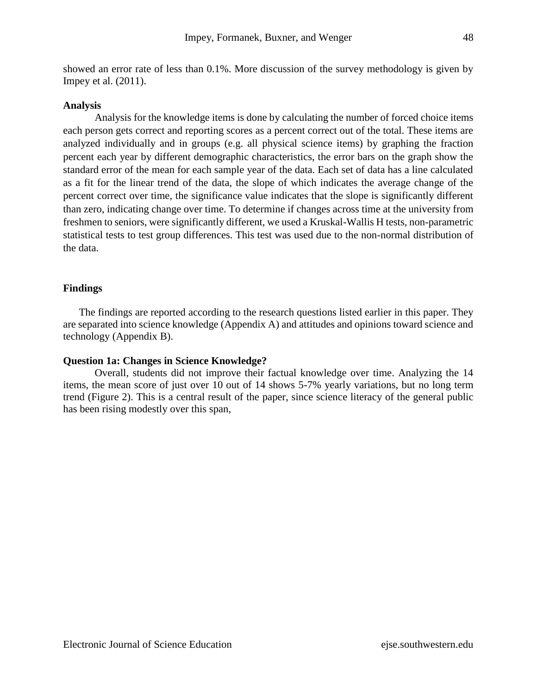showed an error rate of less than 0.1%. More discussion of the survey methodology is given by Impey et al. (2011).

### **Analysis**

Analysis for the knowledge items is done by calculating the number of forced choice items each person gets correct and reporting scores as a percent correct out of the total. These items are analyzed individually and in groups (e.g. all physical science items) by graphing the fraction percent each year by different demographic characteristics, the error bars on the graph show the standard error of the mean for each sample year of the data. Each set of data has a line calculated as a fit for the linear trend of the data, the slope of which indicates the average change of the percent correct over time, the significance value indicates that the slope is significantly different than zero, indicating change over time. To determine if changes across time at the university from freshmen to seniors, were significantly different, we used a Kruskal-Wallis H tests, non-parametric statistical tests to test group differences. This test was used due to the non-normal distribution of the data.

# **Findings**

The findings are reported according to the research questions listed earlier in this paper. They are separated into science knowledge (Appendix A) and attitudes and opinions toward science and technology (Appendix B).

# **Question 1a: Changes in Science Knowledge?**

Overall, students did not improve their factual knowledge over time. Analyzing the 14 items, the mean score of just over 10 out of 14 shows 5-7% yearly variations, but no long term trend (Figure 2). This is a central result of the paper, since science literacy of the general public has been rising modestly over this span,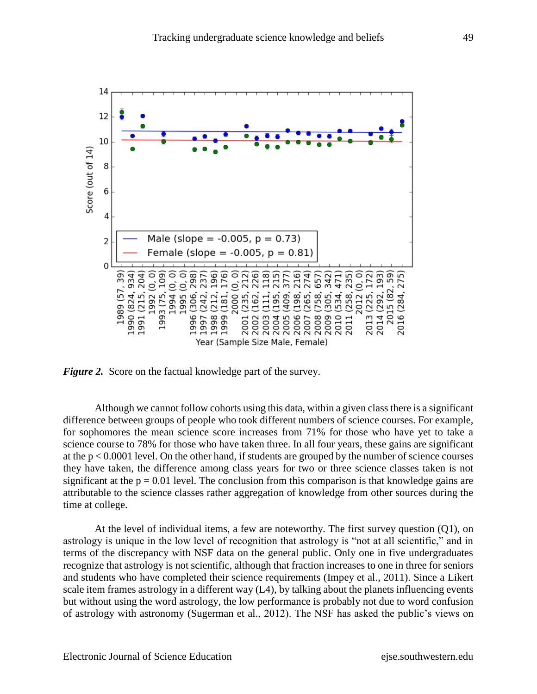

*Figure 2.* Score on the factual knowledge part of the survey.

Although we cannot follow cohorts using this data, within a given class there is a significant difference between groups of people who took different numbers of science courses. For example, for sophomores the mean science score increases from 71% for those who have yet to take a science course to 78% for those who have taken three. In all four years, these gains are significant at the p < 0.0001 level. On the other hand, if students are grouped by the number of science courses they have taken, the difference among class years for two or three science classes taken is not significant at the  $p = 0.01$  level. The conclusion from this comparison is that knowledge gains are attributable to the science classes rather aggregation of knowledge from other sources during the time at college.

At the level of individual items, a few are noteworthy. The first survey question (Q1), on astrology is unique in the low level of recognition that astrology is "not at all scientific," and in terms of the discrepancy with NSF data on the general public. Only one in five undergraduates recognize that astrology is not scientific, although that fraction increases to one in three for seniors and students who have completed their science requirements (Impey et al., 2011). Since a Likert scale item frames astrology in a different way  $(L4)$ , by talking about the planets influencing events but without using the word astrology, the low performance is probably not due to word confusion of astrology with astronomy (Sugerman et al., 2012). The NSF has asked the public's views on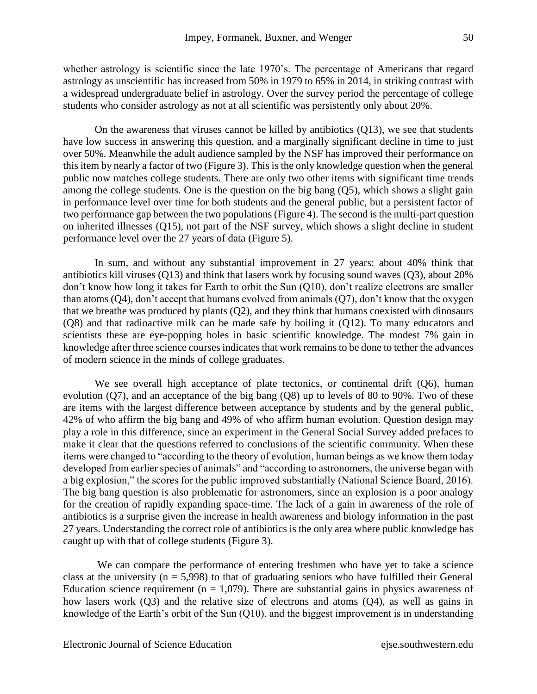whether astrology is scientific since the late 1970's. The percentage of Americans that regard astrology as unscientific has increased from 50% in 1979 to 65% in 2014, in striking contrast with a widespread undergraduate belief in astrology. Over the survey period the percentage of college students who consider astrology as not at all scientific was persistently only about 20%.

On the awareness that viruses cannot be killed by antibiotics (Q13), we see that students have low success in answering this question, and a marginally significant decline in time to just over 50%. Meanwhile the adult audience sampled by the NSF has improved their performance on this item by nearly a factor of two (Figure 3). This is the only knowledge question when the general public now matches college students. There are only two other items with significant time trends among the college students. One is the question on the big bang (Q5), which shows a slight gain in performance level over time for both students and the general public, but a persistent factor of two performance gap between the two populations (Figure 4). The second is the multi-part question on inherited illnesses (Q15), not part of the NSF survey, which shows a slight decline in student performance level over the 27 years of data (Figure 5).

In sum, and without any substantial improvement in 27 years: about 40% think that antibiotics kill viruses (Q13) and think that lasers work by focusing sound waves (Q3), about 20% don't know how long it takes for Earth to orbit the Sun (Q10), don't realize electrons are smaller than atoms  $(Q4)$ , don't accept that humans evolved from animals  $(Q7)$ , don't know that the oxygen that we breathe was produced by plants (Q2), and they think that humans coexisted with dinosaurs (Q8) and that radioactive milk can be made safe by boiling it (Q12). To many educators and scientists these are eye-popping holes in basic scientific knowledge. The modest 7% gain in knowledge after three science courses indicates that work remains to be done to tether the advances of modern science in the minds of college graduates.

We see overall high acceptance of plate tectonics, or continental drift (Q6), human evolution (Q7), and an acceptance of the big bang (Q8) up to levels of 80 to 90%. Two of these are items with the largest difference between acceptance by students and by the general public, 42% of who affirm the big bang and 49% of who affirm human evolution. Question design may play a role in this difference, since an experiment in the General Social Survey added prefaces to make it clear that the questions referred to conclusions of the scientific community. When these items were changed to "according to the theory of evolution, human beings as we know them today developed from earlier species of animals" and "according to astronomers, the universe began with a big explosion," the scores for the public improved substantially (National Science Board, 2016). The big bang question is also problematic for astronomers, since an explosion is a poor analogy for the creation of rapidly expanding space-time. The lack of a gain in awareness of the role of antibiotics is a surprise given the increase in health awareness and biology information in the past 27 years. Understanding the correct role of antibiotics is the only area where public knowledge has caught up with that of college students (Figure 3).

We can compare the performance of entering freshmen who have yet to take a science class at the university ( $n = 5,998$ ) to that of graduating seniors who have fulfilled their General Education science requirement ( $n = 1,079$ ). There are substantial gains in physics awareness of how lasers work (Q3) and the relative size of electrons and atoms (Q4), as well as gains in knowledge of the Earth's orbit of the Sun (Q10), and the biggest improvement is in understanding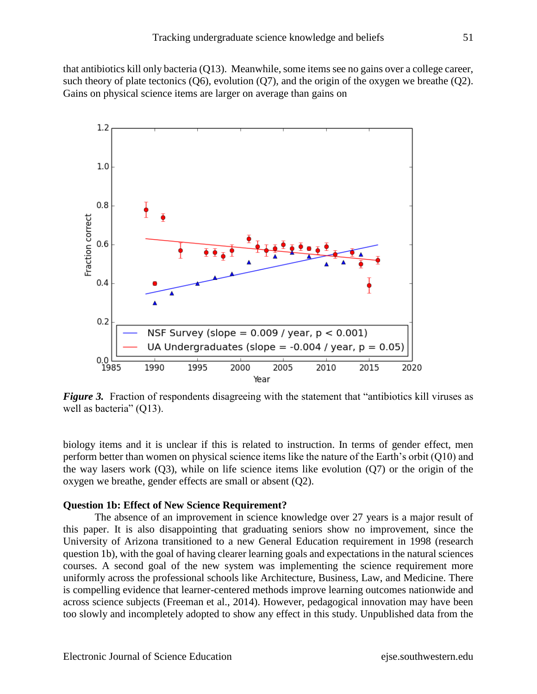that antibiotics kill only bacteria (Q13). Meanwhile, some items see no gains over a college career, such theory of plate tectonics  $(06)$ , evolution  $(07)$ , and the origin of the oxygen we breathe  $(02)$ . Gains on physical science items are larger on average than gains on



*Figure 3.* Fraction of respondents disagreeing with the statement that "antibiotics kill viruses as well as bacteria" (Q13).

biology items and it is unclear if this is related to instruction. In terms of gender effect, men perform better than women on physical science items like the nature of the Earth's orbit (Q10) and the way lasers work (Q3), while on life science items like evolution (Q7) or the origin of the oxygen we breathe, gender effects are small or absent (Q2).

#### **Question 1b: Effect of New Science Requirement?**

The absence of an improvement in science knowledge over 27 years is a major result of this paper. It is also disappointing that graduating seniors show no improvement, since the University of Arizona transitioned to a new General Education requirement in 1998 (research question 1b), with the goal of having clearer learning goals and expectations in the natural sciences courses. A second goal of the new system was implementing the science requirement more uniformly across the professional schools like Architecture, Business, Law, and Medicine. There is compelling evidence that learner-centered methods improve learning outcomes nationwide and across science subjects (Freeman et al., 2014). However, pedagogical innovation may have been too slowly and incompletely adopted to show any effect in this study. Unpublished data from the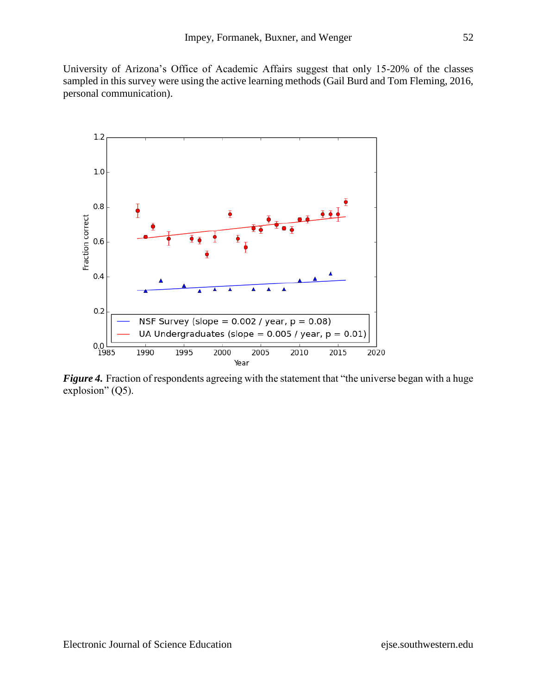University of Arizona's Office of Academic Affairs suggest that only 15-20% of the classes sampled in this survey were using the active learning methods (Gail Burd and Tom Fleming, 2016, personal communication).



*Figure 4.* Fraction of respondents agreeing with the statement that "the universe began with a huge explosion" (Q5).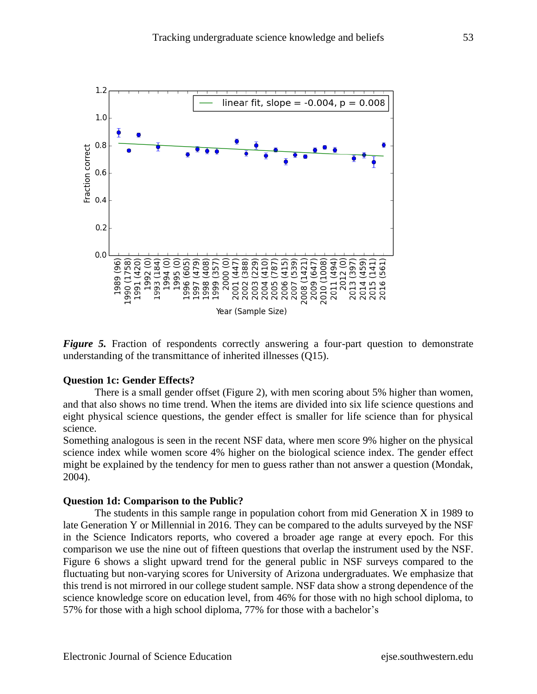

**Figure 5.** Fraction of respondents correctly answering a four-part question to demonstrate understanding of the transmittance of inherited illnesses (Q15).

### **Question 1c: Gender Effects?**

There is a small gender offset (Figure 2), with men scoring about 5% higher than women, and that also shows no time trend. When the items are divided into six life science questions and eight physical science questions, the gender effect is smaller for life science than for physical science.

Something analogous is seen in the recent NSF data, where men score 9% higher on the physical science index while women score 4% higher on the biological science index. The gender effect might be explained by the tendency for men to guess rather than not answer a question (Mondak, 2004).

#### **Question 1d: Comparison to the Public?**

The students in this sample range in population cohort from mid Generation X in 1989 to late Generation Y or Millennial in 2016. They can be compared to the adults surveyed by the NSF in the Science Indicators reports, who covered a broader age range at every epoch. For this comparison we use the nine out of fifteen questions that overlap the instrument used by the NSF. Figure 6 shows a slight upward trend for the general public in NSF surveys compared to the fluctuating but non-varying scores for University of Arizona undergraduates. We emphasize that this trend is not mirrored in our college student sample. NSF data show a strong dependence of the science knowledge score on education level, from 46% for those with no high school diploma, to 57% for those with a high school diploma, 77% for those with a bachelor's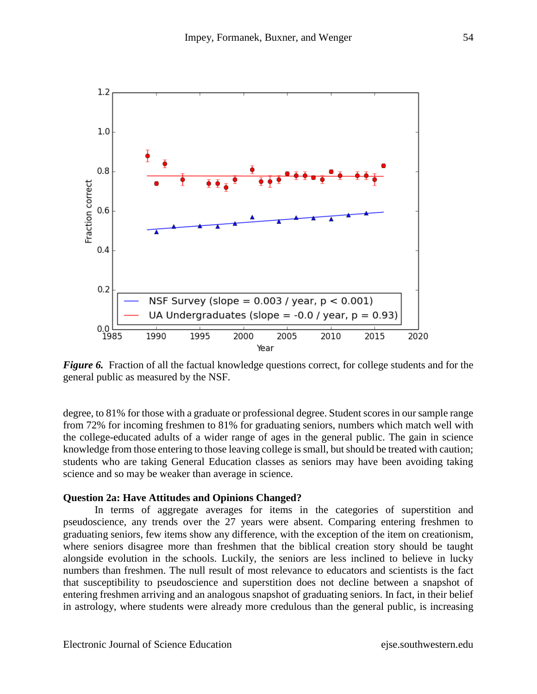

*Figure 6.* Fraction of all the factual knowledge questions correct, for college students and for the general public as measured by the NSF.

degree, to 81% for those with a graduate or professional degree. Student scores in our sample range from 72% for incoming freshmen to 81% for graduating seniors, numbers which match well with the college-educated adults of a wider range of ages in the general public. The gain in science knowledge from those entering to those leaving college is small, but should be treated with caution; students who are taking General Education classes as seniors may have been avoiding taking science and so may be weaker than average in science.

### **Question 2a: Have Attitudes and Opinions Changed?**

In terms of aggregate averages for items in the categories of superstition and pseudoscience, any trends over the 27 years were absent. Comparing entering freshmen to graduating seniors, few items show any difference, with the exception of the item on creationism, where seniors disagree more than freshmen that the biblical creation story should be taught alongside evolution in the schools. Luckily, the seniors are less inclined to believe in lucky numbers than freshmen. The null result of most relevance to educators and scientists is the fact that susceptibility to pseudoscience and superstition does not decline between a snapshot of entering freshmen arriving and an analogous snapshot of graduating seniors. In fact, in their belief in astrology, where students were already more credulous than the general public, is increasing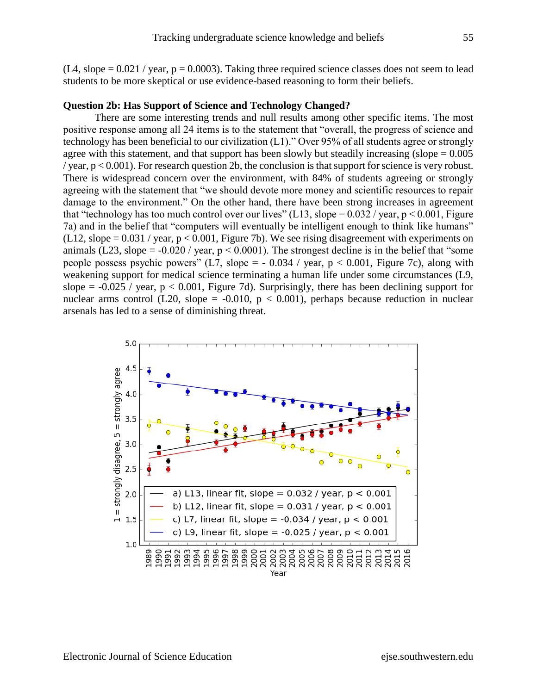$(L4, slope = 0.021 / year, p = 0.0003)$ . Taking three required science classes does not seem to lead students to be more skeptical or use evidence-based reasoning to form their beliefs.

# **Question 2b: Has Support of Science and Technology Changed?**

There are some interesting trends and null results among other specific items. The most positive response among all 24 items is to the statement that "overall, the progress of science and technology has been beneficial to our civilization (L1)." Over 95% of all students agree or strongly agree with this statement, and that support has been slowly but steadily increasing (slope  $= 0.005$ ) / year, p < 0.001). For research question 2b, the conclusion is that support for science is very robust. There is widespread concern over the environment, with 84% of students agreeing or strongly agreeing with the statement that "we should devote more money and scientific resources to repair damage to the environment." On the other hand, there have been strong increases in agreement that "technology has too much control over our lives" (L13, slope =  $0.032$  / year, p < 0.001, Figure 7a) and in the belief that "computers will eventually be intelligent enough to think like humans" (L12, slope  $= 0.031$  / year,  $p < 0.001$ , Figure 7b). We see rising disagreement with experiments on animals (L23, slope =  $-0.020$  / year,  $p < 0.0001$ ). The strongest decline is in the belief that "some people possess psychic powers" (L7, slope =  $-0.034$  / year, p < 0.001, Figure 7c), along with weakening support for medical science terminating a human life under some circumstances (L9, slope  $= -0.025$  / year,  $p < 0.001$ , Figure 7d). Surprisingly, there has been declining support for nuclear arms control (L20, slope =  $-0.010$ , p < 0.001), perhaps because reduction in nuclear arsenals has led to a sense of diminishing threat.

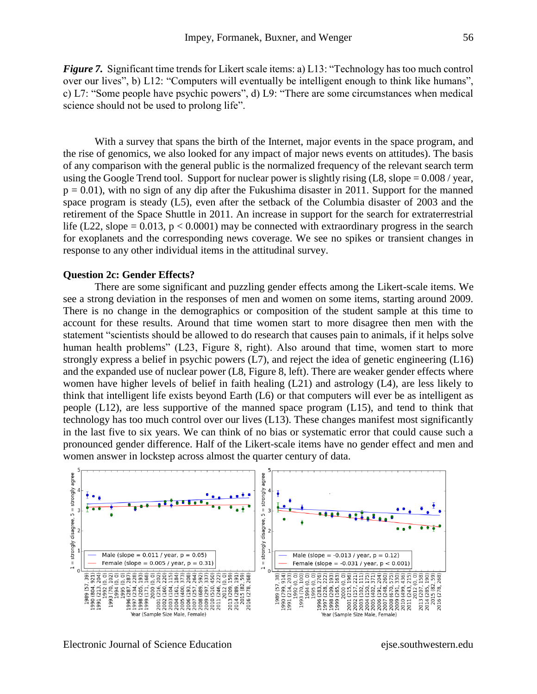*Figure 7.* Significant time trends for Likert scale items: a) L13: "Technology has too much control over our lives", b) L12: "Computers will eventually be intelligent enough to think like humans", c) L7: "Some people have psychic powers", d) L9: "There are some circumstances when medical science should not be used to prolong life".

With a survey that spans the birth of the Internet, major events in the space program, and the rise of genomics, we also looked for any impact of major news events on attitudes). The basis of any comparison with the general public is the normalized frequency of the relevant search term using the Google Trend tool. Support for nuclear power is slightly rising (L8, slope = 0.008 / year,  $p = 0.01$ , with no sign of any dip after the Fukushima disaster in 2011. Support for the manned space program is steady (L5), even after the setback of the Columbia disaster of 2003 and the retirement of the Space Shuttle in 2011. An increase in support for the search for extraterrestrial life (L22, slope =  $0.013$ ,  $p < 0.0001$ ) may be connected with extraordinary progress in the search for exoplanets and the corresponding news coverage. We see no spikes or transient changes in response to any other individual items in the attitudinal survey.

#### **Question 2c: Gender Effects?**

There are some significant and puzzling gender effects among the Likert-scale items. We see a strong deviation in the responses of men and women on some items, starting around 2009. There is no change in the demographics or composition of the student sample at this time to account for these results. Around that time women start to more disagree then men with the statement "scientists should be allowed to do research that causes pain to animals, if it helps solve human health problems" (L23, Figure 8, right). Also around that time, women start to more strongly express a belief in psychic powers (L7), and reject the idea of genetic engineering (L16) and the expanded use of nuclear power (L8, Figure 8, left). There are weaker gender effects where women have higher levels of belief in faith healing (L21) and astrology (L4), are less likely to think that intelligent life exists beyond Earth (L6) or that computers will ever be as intelligent as people (L12), are less supportive of the manned space program (L15), and tend to think that technology has too much control over our lives (L13). These changes manifest most significantly in the last five to six years. We can think of no bias or systematic error that could cause such a pronounced gender difference. Half of the Likert-scale items have no gender effect and men and women answer in lockstep across almost the quarter century of data.

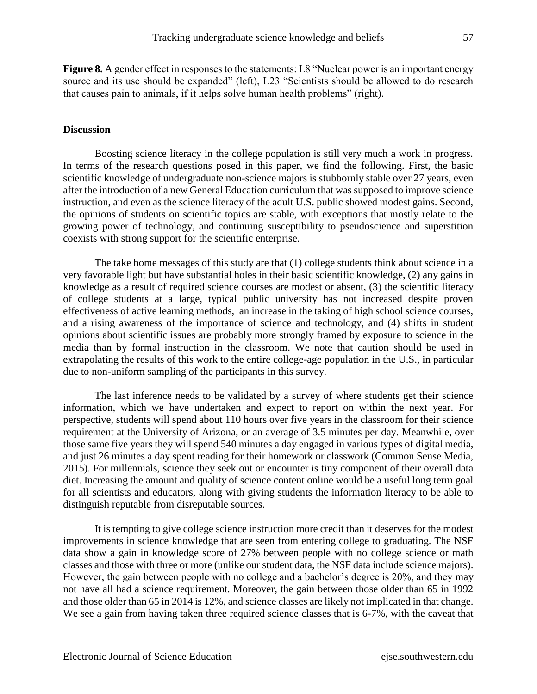**Figure 8.** A gender effect in responses to the statements: L8 "Nuclear power is an important energy source and its use should be expanded" (left), L23 "Scientists should be allowed to do research that causes pain to animals, if it helps solve human health problems" (right).

### **Discussion**

Boosting science literacy in the college population is still very much a work in progress. In terms of the research questions posed in this paper, we find the following. First, the basic scientific knowledge of undergraduate non-science majors is stubbornly stable over 27 years, even after the introduction of a new General Education curriculum that was supposed to improve science instruction, and even as the science literacy of the adult U.S. public showed modest gains. Second, the opinions of students on scientific topics are stable, with exceptions that mostly relate to the growing power of technology, and continuing susceptibility to pseudoscience and superstition coexists with strong support for the scientific enterprise.

The take home messages of this study are that (1) college students think about science in a very favorable light but have substantial holes in their basic scientific knowledge, (2) any gains in knowledge as a result of required science courses are modest or absent, (3) the scientific literacy of college students at a large, typical public university has not increased despite proven effectiveness of active learning methods, an increase in the taking of high school science courses, and a rising awareness of the importance of science and technology, and (4) shifts in student opinions about scientific issues are probably more strongly framed by exposure to science in the media than by formal instruction in the classroom. We note that caution should be used in extrapolating the results of this work to the entire college-age population in the U.S., in particular due to non-uniform sampling of the participants in this survey.

The last inference needs to be validated by a survey of where students get their science information, which we have undertaken and expect to report on within the next year. For perspective, students will spend about 110 hours over five years in the classroom for their science requirement at the University of Arizona, or an average of 3.5 minutes per day. Meanwhile, over those same five years they will spend 540 minutes a day engaged in various types of digital media, and just 26 minutes a day spent reading for their homework or classwork (Common Sense Media, 2015). For millennials, science they seek out or encounter is tiny component of their overall data diet. Increasing the amount and quality of science content online would be a useful long term goal for all scientists and educators, along with giving students the information literacy to be able to distinguish reputable from disreputable sources.

It is tempting to give college science instruction more credit than it deserves for the modest improvements in science knowledge that are seen from entering college to graduating. The NSF data show a gain in knowledge score of 27% between people with no college science or math classes and those with three or more (unlike our student data, the NSF data include science majors). However, the gain between people with no college and a bachelor's degree is 20%, and they may not have all had a science requirement. Moreover, the gain between those older than 65 in 1992 and those older than 65 in 2014 is 12%, and science classes are likely not implicated in that change. We see a gain from having taken three required science classes that is 6-7%, with the caveat that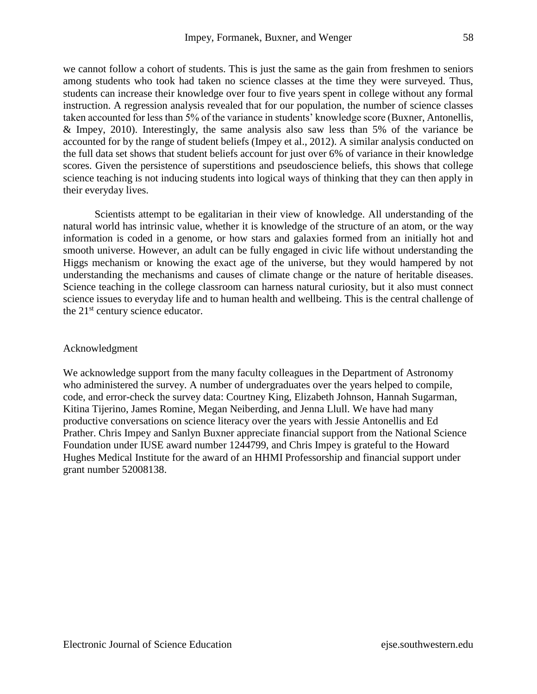we cannot follow a cohort of students. This is just the same as the gain from freshmen to seniors among students who took had taken no science classes at the time they were surveyed. Thus, students can increase their knowledge over four to five years spent in college without any formal instruction. A regression analysis revealed that for our population, the number of science classes taken accounted for less than 5% of the variance in students' knowledge score (Buxner, Antonellis, & Impey, 2010). Interestingly, the same analysis also saw less than 5% of the variance be accounted for by the range of student beliefs (Impey et al., 2012). A similar analysis conducted on the full data set shows that student beliefs account for just over 6% of variance in their knowledge scores. Given the persistence of superstitions and pseudoscience beliefs, this shows that college science teaching is not inducing students into logical ways of thinking that they can then apply in their everyday lives.

Scientists attempt to be egalitarian in their view of knowledge. All understanding of the natural world has intrinsic value, whether it is knowledge of the structure of an atom, or the way information is coded in a genome, or how stars and galaxies formed from an initially hot and smooth universe. However, an adult can be fully engaged in civic life without understanding the Higgs mechanism or knowing the exact age of the universe, but they would hampered by not understanding the mechanisms and causes of climate change or the nature of heritable diseases. Science teaching in the college classroom can harness natural curiosity, but it also must connect science issues to everyday life and to human health and wellbeing. This is the central challenge of the  $21<sup>st</sup>$  century science educator.

### Acknowledgment

We acknowledge support from the many faculty colleagues in the Department of Astronomy who administered the survey. A number of undergraduates over the years helped to compile, code, and error-check the survey data: Courtney King, Elizabeth Johnson, Hannah Sugarman, Kitina Tijerino, James Romine, Megan Neiberding, and Jenna Llull. We have had many productive conversations on science literacy over the years with Jessie Antonellis and Ed Prather. Chris Impey and Sanlyn Buxner appreciate financial support from the National Science Foundation under IUSE award number 1244799, and Chris Impey is grateful to the Howard Hughes Medical Institute for the award of an HHMI Professorship and financial support under grant number 52008138.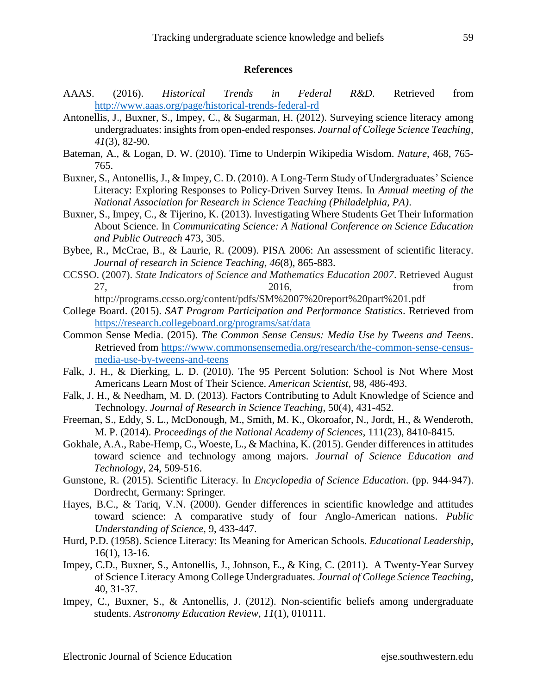### **References**

- AAAS. (2016). *Historical Trends in Federal R&D*. Retrieved from <http://www.aaas.org/page/historical-trends-federal-rd>
- Antonellis, J., Buxner, S., Impey, C., & Sugarman, H. (2012). Surveying science literacy among undergraduates: insights from open-ended responses. *Journal of College Science Teaching*, *41*(3), 82-90.
- Bateman, A., & Logan, D. W. (2010). Time to Underpin Wikipedia Wisdom. *Nature*, 468, 765- 765.
- Buxner, S., Antonellis, J., & Impey, C. D. (2010). A Long-Term Study of Undergraduates' Science Literacy: Exploring Responses to Policy-Driven Survey Items. In *Annual meeting of the National Association for Research in Science Teaching (Philadelphia, PA)*.
- Buxner, S., Impey, C., & Tijerino, K. (2013). Investigating Where Students Get Their Information About Science. In *Communicating Science: A National Conference on Science Education and Public Outreach* 473, 305.
- Bybee, R., McCrae, B., & Laurie, R. (2009). PISA 2006: An assessment of scientific literacy. *Journal of research in Science Teaching, 46*(8), 865-883.
- CCSSO. (2007). *State Indicators of Science and Mathematics Education 2007*. Retrieved August 27, 2016, from

http://programs.ccsso.org/content/pdfs/SM%2007%20report%20part%201.pdf

- College Board. (2015). *SAT Program Participation and Performance Statistics*. Retrieved from <https://research.collegeboard.org/programs/sat/data>
- Common Sense Media. (2015). *The Common Sense Census: Media Use by Tweens and Teens*. Retrieved from [https://www.commonsensemedia.org/research/the-common-sense-census](https://www.commonsensemedia.org/research/the-common-sense-census-media-use-by-tweens-and-teens)[media-use-by-tweens-and-teens](https://www.commonsensemedia.org/research/the-common-sense-census-media-use-by-tweens-and-teens)
- Falk, J. H., & Dierking, L. D. (2010). The 95 Percent Solution: School is Not Where Most Americans Learn Most of Their Science. *American Scientist*, 98, 486-493.
- Falk, J. H., & Needham, M. D. (2013). Factors Contributing to Adult Knowledge of Science and Technology. *Journal of Research in Science Teaching*, 50(4), 431-452.
- Freeman, S., Eddy, S. L., McDonough, M., Smith, M. K., Okoroafor, N., Jordt, H., & Wenderoth, M. P. (2014). *Proceedings of the National Academy of Sciences*, 111(23), 8410-8415.
- Gokhale, A.A., Rabe-Hemp, C., Woeste, L., & Machina, K. (2015). Gender differences in attitudes toward science and technology among majors. *Journal of Science Education and Technology*, 24, 509-516.
- Gunstone, R. (2015). Scientific Literacy. In *Encyclopedia of Science Education*. (pp. 944-947). Dordrecht, Germany: Springer.
- Hayes, B.C., & Tariq, V.N. (2000). Gender differences in scientific knowledge and attitudes toward science: A comparative study of four Anglo-American nations. *Public Understanding of Science*, 9, 433-447.
- Hurd, P.D. (1958). Science Literacy: Its Meaning for American Schools. *Educational Leadership*, 16(1), 13-16.
- Impey, C.D., Buxner, S., Antonellis, J., Johnson, E., & King, C. (2011). A Twenty-Year Survey of Science Literacy Among College Undergraduates. *Journal of College Science Teaching*, 40, 31-37.
- Impey, C., Buxner, S., & Antonellis, J. (2012). Non-scientific beliefs among undergraduate students. *Astronomy Education Review*, *11*(1), 010111.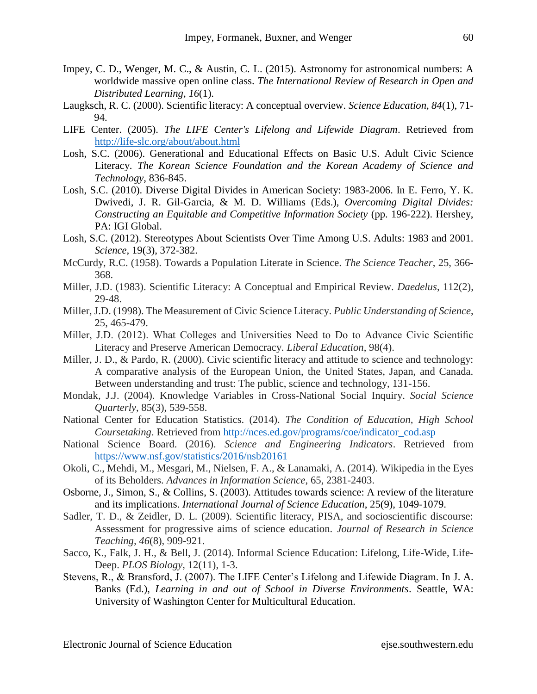- Impey, C. D., Wenger, M. C., & Austin, C. L. (2015). Astronomy for astronomical numbers: A worldwide massive open online class. *The International Review of Research in Open and Distributed Learning*, *16*(1).
- Laugksch, R. C. (2000). Scientific literacy: A conceptual overview. *Science Education, 84*(1), 71- 94.
- LIFE Center. (2005). *The LIFE Center's Lifelong and Lifewide Diagram*. Retrieved from <http://life-slc.org/about/about.html>
- Losh, S.C. (2006). Generational and Educational Effects on Basic U.S. Adult Civic Science Literacy. *The Korean Science Foundation and the Korean Academy of Science and Technology*, 836-845.
- Losh, S.C. (2010). Diverse Digital Divides in American Society: 1983-2006. In E. Ferro, Y. K. Dwivedi, J. R. Gil-Garcia, & M. D. Williams (Eds.), *Overcoming Digital Divides: Constructing an Equitable and Competitive Information Society (pp. 196-222). Hershey,* PA: IGI Global.
- Losh, S.C. (2012). Stereotypes About Scientists Over Time Among U.S. Adults: 1983 and 2001. *Science,* 19(3), 372-382.
- McCurdy, R.C. (1958). Towards a Population Literate in Science. *The Science Teacher*, 25, 366- 368.
- Miller, J.D. (1983). Scientific Literacy: A Conceptual and Empirical Review. *Daedelus*, 112(2), 29-48.
- Miller, J.D. (1998). The Measurement of Civic Science Literacy. *Public Understanding of Science*, 25, 465-479.
- Miller, J.D. (2012). What Colleges and Universities Need to Do to Advance Civic Scientific Literacy and Preserve American Democracy. *Liberal Education*, 98(4).
- Miller, J. D., & Pardo, R. (2000). Civic scientific literacy and attitude to science and technology: A comparative analysis of the European Union, the United States, Japan, and Canada. Between understanding and trust: The public, science and technology, 131-156.
- Mondak, J.J. (2004). Knowledge Variables in Cross-National Social Inquiry. *Social Science Quarterly*, 85(3), 539-558.
- National Center for Education Statistics. (2014). *The Condition of Education, High School Coursetaking*. Retrieved from [http://nces.ed.gov/programs/coe/indicator\\_cod.asp](http://nces.ed.gov/programs/coe/indicator_cod.asp)
- National Science Board. (2016). *Science and Engineering Indicators*. Retrieved from <https://www.nsf.gov/statistics/2016/nsb20161>
- Okoli, C., Mehdi, M., Mesgari, M., Nielsen, F. A., & Lanamaki, A. (2014). Wikipedia in the Eyes of its Beholders. *Advances in Information Science*, 65, 2381-2403.
- Osborne, J., Simon, S., & Collins, S. (2003). Attitudes towards science: A review of the literature and its implications. *International Journal of Science Education*, 25(9), 1049-1079.
- Sadler, T. D., & Zeidler, D. L. (2009). Scientific literacy, PISA, and socioscientific discourse: Assessment for progressive aims of science education. *Journal of Research in Science Teaching, 46*(8), 909-921.
- Sacco, K., Falk, J. H., & Bell, J. (2014). Informal Science Education: Lifelong, Life-Wide, Life-Deep. *PLOS Biology*, 12(11), 1-3.
- Stevens, R., & Bransford, J. (2007). The LIFE Center's Lifelong and Lifewide Diagram. In J. A. Banks (Ed.), *Learning in and out of School in Diverse Environments*. Seattle, WA: University of Washington Center for Multicultural Education.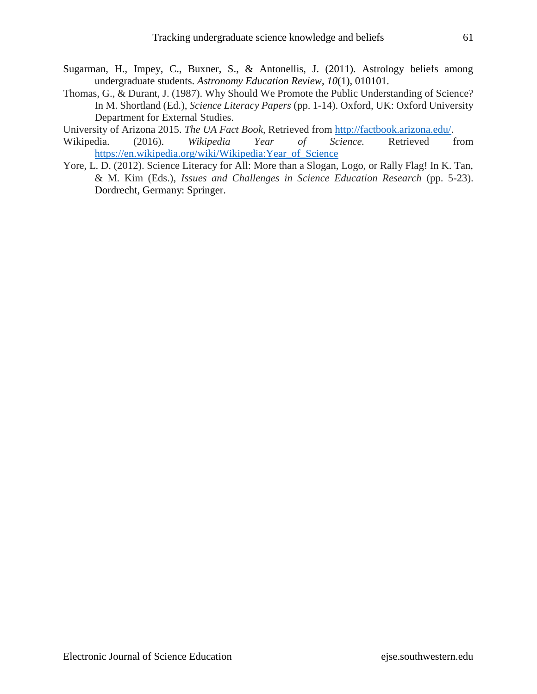- Sugarman, H., Impey, C., Buxner, S., & Antonellis, J. (2011). Astrology beliefs among undergraduate students. *Astronomy Education Review*, *10*(1), 010101.
- Thomas, G., & Durant, J. (1987). Why Should We Promote the Public Understanding of Science? In M. Shortland (Ed.), *Science Literacy Papers* (pp. 1-14). Oxford, UK: Oxford University Department for External Studies.

University of Arizona 2015. *The UA Fact Book*, Retrieved from [http://factbook.arizona.edu/.](http://factbook.arizona.edu/)

- Wikipedia. (2016). *Wikipedia Year of Science.* Retrieved from [https://en.wikipedia.org/wiki/Wikipedia:Year\\_of\\_Science](https://en.wikipedia.org/wiki/Wikipedia:Year_of_Science)
- Yore, L. D. (2012). Science Literacy for All: More than a Slogan, Logo, or Rally Flag! In K. Tan, & M. Kim (Eds.), *Issues and Challenges in Science Education Research* (pp. 5-23). Dordrecht, Germany: Springer.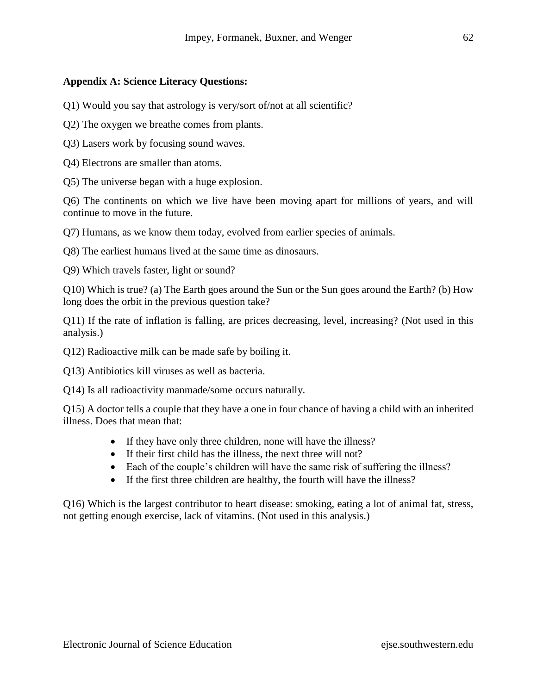# **Appendix A: Science Literacy Questions:**

Q1) Would you say that astrology is very/sort of/not at all scientific?

Q2) The oxygen we breathe comes from plants.

Q3) Lasers work by focusing sound waves.

Q4) Electrons are smaller than atoms.

Q5) The universe began with a huge explosion.

Q6) The continents on which we live have been moving apart for millions of years, and will continue to move in the future.

Q7) Humans, as we know them today, evolved from earlier species of animals.

Q8) The earliest humans lived at the same time as dinosaurs.

Q9) Which travels faster, light or sound?

Q10) Which is true? (a) The Earth goes around the Sun or the Sun goes around the Earth? (b) How long does the orbit in the previous question take?

Q11) If the rate of inflation is falling, are prices decreasing, level, increasing? (Not used in this analysis.)

Q12) Radioactive milk can be made safe by boiling it.

Q13) Antibiotics kill viruses as well as bacteria.

Q14) Is all radioactivity manmade/some occurs naturally.

Q15) A doctor tells a couple that they have a one in four chance of having a child with an inherited illness. Does that mean that:

- If they have only three children, none will have the illness?
- If their first child has the illness, the next three will not?
- Each of the couple's children will have the same risk of suffering the illness?
- If the first three children are healthy, the fourth will have the illness?

Q16) Which is the largest contributor to heart disease: smoking, eating a lot of animal fat, stress, not getting enough exercise, lack of vitamins. (Not used in this analysis.)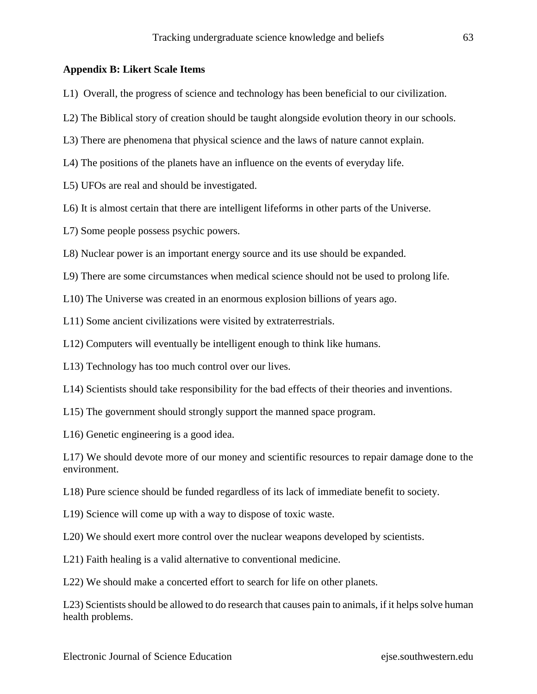### **Appendix B: Likert Scale Items**

- L1) Overall, the progress of science and technology has been beneficial to our civilization.
- L2) The Biblical story of creation should be taught alongside evolution theory in our schools.
- L3) There are phenomena that physical science and the laws of nature cannot explain.
- L4) The positions of the planets have an influence on the events of everyday life.
- L5) UFOs are real and should be investigated.
- L6) It is almost certain that there are intelligent lifeforms in other parts of the Universe.
- L7) Some people possess psychic powers.
- L8) Nuclear power is an important energy source and its use should be expanded.
- L9) There are some circumstances when medical science should not be used to prolong life.
- L10) The Universe was created in an enormous explosion billions of years ago.
- L11) Some ancient civilizations were visited by extraterrestrials.
- L12) Computers will eventually be intelligent enough to think like humans.
- L13) Technology has too much control over our lives.
- L14) Scientists should take responsibility for the bad effects of their theories and inventions.
- L15) The government should strongly support the manned space program.
- L16) Genetic engineering is a good idea.
- L17) We should devote more of our money and scientific resources to repair damage done to the environment.
- L18) Pure science should be funded regardless of its lack of immediate benefit to society.
- L19) Science will come up with a way to dispose of toxic waste.
- L20) We should exert more control over the nuclear weapons developed by scientists.
- L21) Faith healing is a valid alternative to conventional medicine.
- L22) We should make a concerted effort to search for life on other planets.
- L23) Scientists should be allowed to do research that causes pain to animals, if it helps solve human health problems.